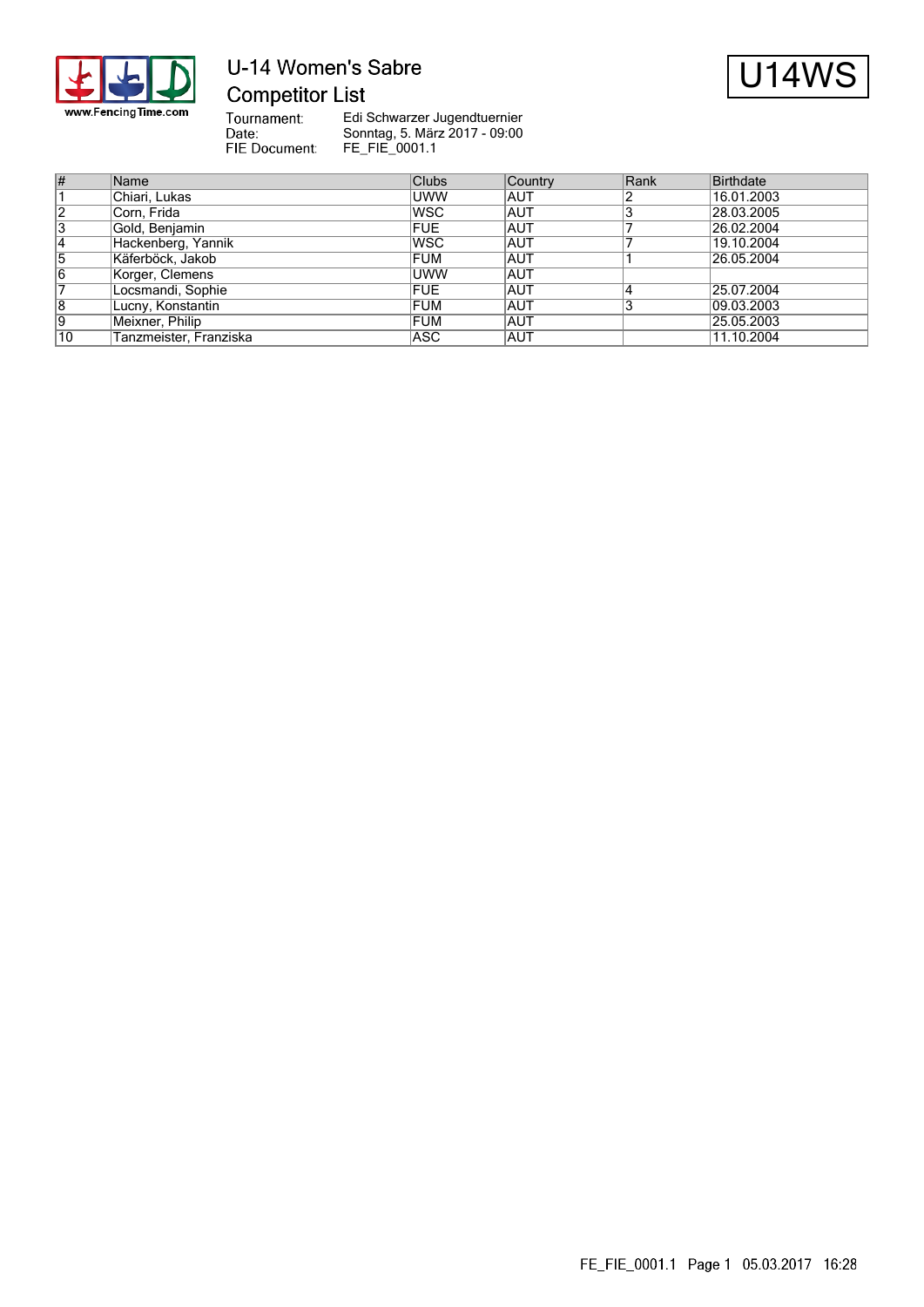

## U-14 Women's Sabre **Competitor List**



Tournament:<br>Date:<br>FIE Document:

| $\overline{\#}$ | Name                   | <b>Clubs</b> | Country    | Rank | Birthdate  |
|-----------------|------------------------|--------------|------------|------|------------|
|                 | Chiari, Lukas          | <b>UWW</b>   | IAUT       |      | 16.01.2003 |
| $\overline{2}$  | Corn, Frida            | lwsc         | <b>AUT</b> |      | 28.03.2005 |
| 3               | Gold, Benjamin         | FUE          | <b>AUT</b> |      | 26.02.2004 |
| $ 4\rangle$     | Hackenberg, Yannik     | lwsc         | <b>AUT</b> |      | 19.10.2004 |
| 5               | Käferböck, Jakob       | FUM          | <b>AUT</b> |      | 26.05.2004 |
| 16              | Korger, Clemens        | <b>UWW</b>   | <b>AUT</b> |      |            |
|                 | Locsmandi, Sophie      | FUE          | <b>AUT</b> |      | 25.07.2004 |
| 8               | Lucny, Konstantin      | FUM          | <b>AUT</b> |      | 09.03.2003 |
| 19              | Meixner, Philip        | FUM          | <b>AUT</b> |      | 25.05.2003 |
| 10              | Tanzmeister, Franziska | ASC          | IAUT       |      | 11.10.2004 |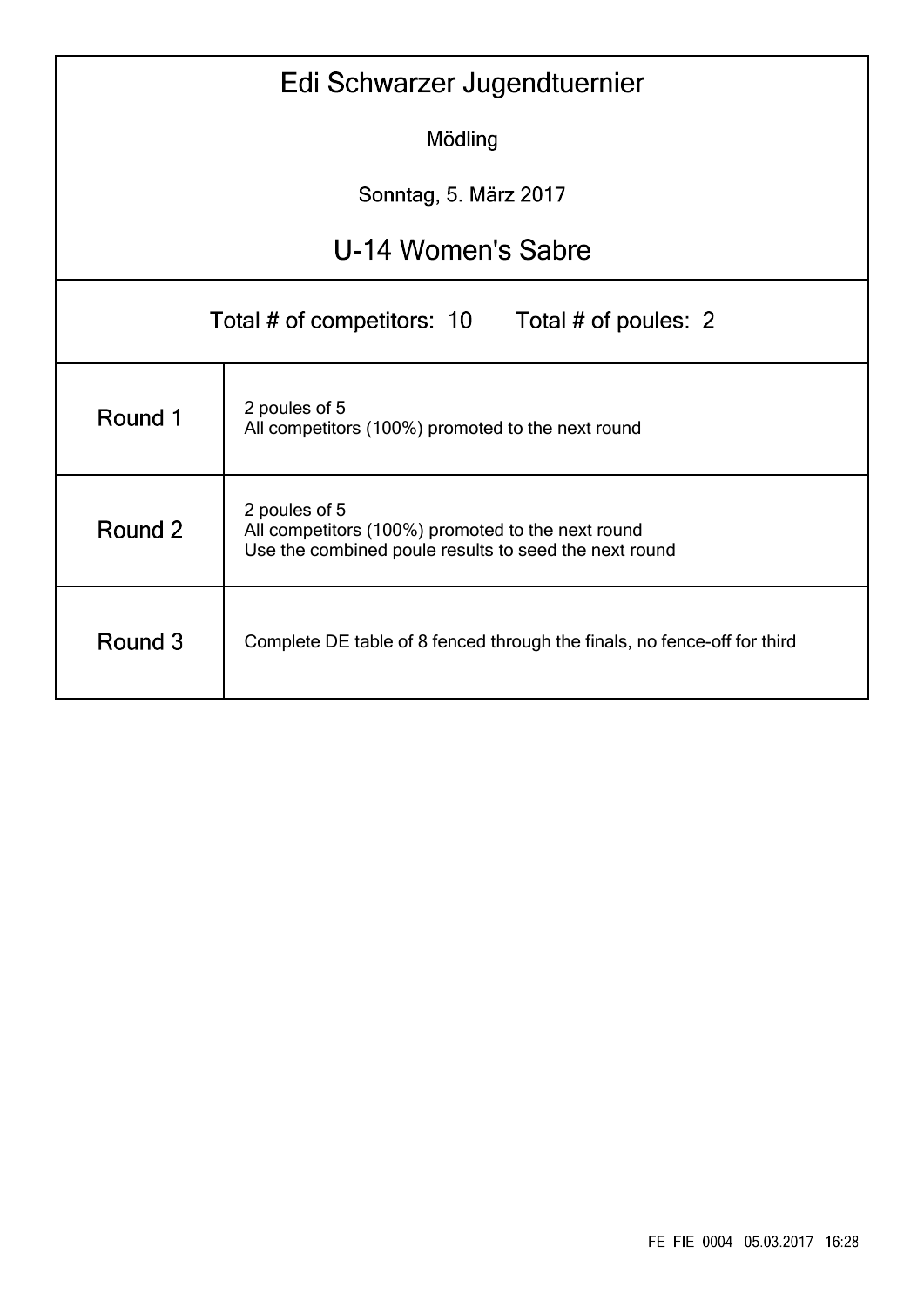|                                                                                     | Edi Schwarzer Jugendtuernier                                                                                                |  |  |  |  |  |  |  |  |  |  |
|-------------------------------------------------------------------------------------|-----------------------------------------------------------------------------------------------------------------------------|--|--|--|--|--|--|--|--|--|--|
|                                                                                     | Mödling                                                                                                                     |  |  |  |  |  |  |  |  |  |  |
|                                                                                     | Sonntag, 5. März 2017                                                                                                       |  |  |  |  |  |  |  |  |  |  |
| U-14 Women's Sabre                                                                  |                                                                                                                             |  |  |  |  |  |  |  |  |  |  |
| Total # of competitors: 10<br>Total # of poules: 2                                  |                                                                                                                             |  |  |  |  |  |  |  |  |  |  |
| Round 1                                                                             | 2 poules of 5<br>All competitors (100%) promoted to the next round                                                          |  |  |  |  |  |  |  |  |  |  |
| Round 2                                                                             | 2 poules of 5<br>All competitors (100%) promoted to the next round<br>Use the combined poule results to seed the next round |  |  |  |  |  |  |  |  |  |  |
| Round 3<br>Complete DE table of 8 fenced through the finals, no fence-off for third |                                                                                                                             |  |  |  |  |  |  |  |  |  |  |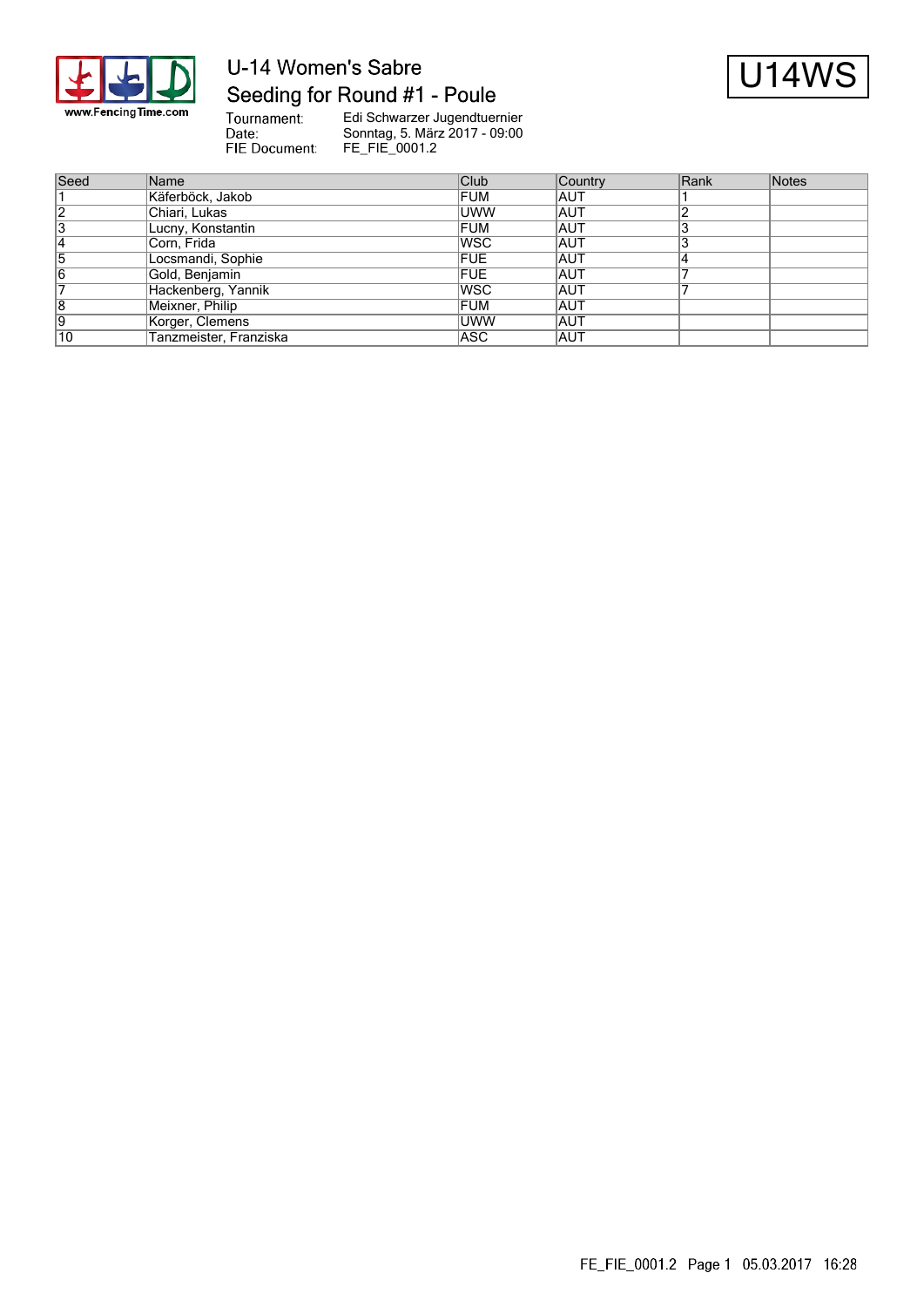

## U-14 Women's Sabre Seeding for Round #1 - Poule



Tournament:<br>Date: FIE Document:

| Seed           | Name                   | Club       | Country    | Rank | Notes |
|----------------|------------------------|------------|------------|------|-------|
|                | Käferböck, Jakob       | <b>FUM</b> | IAUT       |      |       |
| $\overline{2}$ | Chiari, Lukas          | <b>UWW</b> | IAUT       |      |       |
| 13             | Lucny, Konstantin      | <b>FUM</b> | IAUT       |      |       |
|                | Corn, Frida            | lwsc       | <b>AUT</b> |      |       |
| כו             | Locsmandi, Sophie      | <b>FUE</b> | IAUT       |      |       |
| 16             | Gold, Benjamin         | <b>FUE</b> | IAUT       |      |       |
|                | Hackenberg, Yannik     | lwsc       | IAUT       |      |       |
| 18             | Meixner, Philip        | <b>FUM</b> | <b>AUT</b> |      |       |
| 19             | Korger, Clemens        | <b>UWW</b> | IAUT       |      |       |
| 10             | Tanzmeister, Franziska | ASC        | IAUT       |      |       |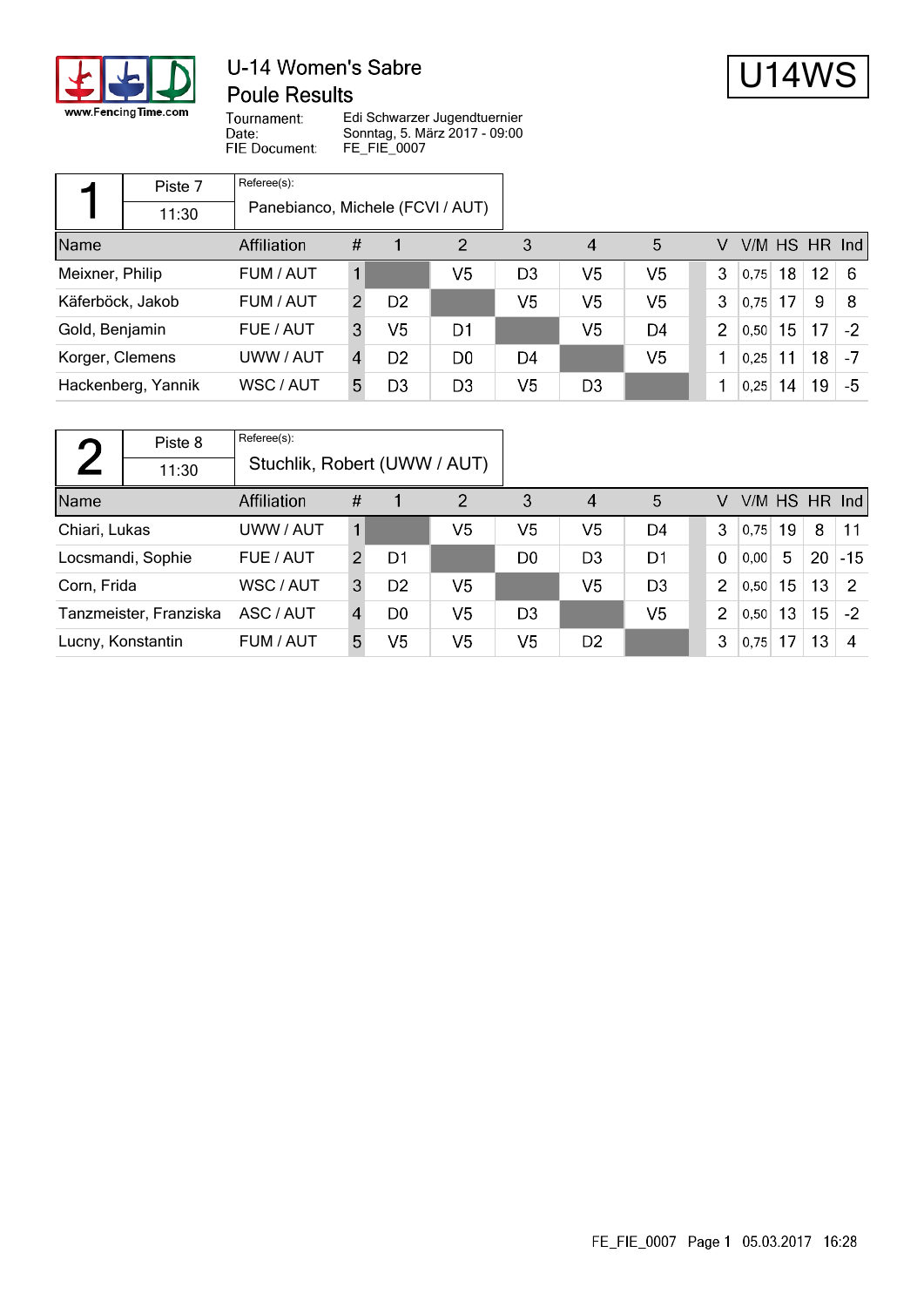

### U-14 Women's Sabre **Poule Results**



Tournament: Date: FIE Document:

|                  | Piste 7            | Referee(s):                      |   |                |                |                |                |    |                |      |    |                 |                 |
|------------------|--------------------|----------------------------------|---|----------------|----------------|----------------|----------------|----|----------------|------|----|-----------------|-----------------|
|                  | 11:30              | Panebianco, Michele (FCVI / AUT) |   |                |                |                |                |    |                |      |    |                 |                 |
| Name             |                    | Affiliation                      | # |                | 2              | 3              | $\overline{4}$ | 5  | V              |      |    |                 | $V/M$ HS HR Ind |
| Meixner, Philip  |                    | FUM / AUT                        |   |                | V5             | D <sub>3</sub> | V5             | V5 | 3              | 0.75 | 18 | 12 <sub>2</sub> | -6              |
| Käferböck, Jakob |                    | FUM / AUT                        | 2 | D <sub>2</sub> |                | V5             | V5             | V5 | 3              | 0.75 | 17 | 9               | 8               |
| Gold, Benjamin   |                    | FUE / AUT                        | 3 | V5             | D1             |                | V5             | D4 | $\overline{2}$ | 0,50 | 15 | 17              | $-2$            |
| Korger, Clemens  |                    | UWW / AUT                        | 4 | D2             | D0             | D4             |                | V5 |                | 0.25 | 11 | 18              | -7              |
|                  | Hackenberg, Yannik | WSC / AUT                        | 5 | D3             | D <sub>3</sub> | V5             | D <sub>3</sub> |    |                | 0,25 | 14 | 19              | -5              |

| $\Gamma$               | Piste 8           | Referee(s):                  |               |                |                |    |                |                |                |      |    |                 |                 |
|------------------------|-------------------|------------------------------|---------------|----------------|----------------|----|----------------|----------------|----------------|------|----|-----------------|-----------------|
|                        | 11:30             | Stuchlik, Robert (UWW / AUT) |               |                |                |    |                |                |                |      |    |                 |                 |
| Name                   | Affiliation       |                              |               |                | $\overline{2}$ | 3  | $\overline{4}$ | 5              | V              |      |    |                 | $V/M$ HS HR Ind |
| Chiari, Lukas          |                   | UWW / AUT                    |               |                | V5             | V5 | V5             | D4             | 3              | 0.75 | 19 | 8               | 11              |
|                        | Locsmandi, Sophie | FUE / AUT                    | $\mathcal{P}$ | D1             |                | D0 | D <sub>3</sub> | D1             | $\mathbf 0$    | 0.00 | 5  | 20              | $ -15 $         |
| Corn, Frida            |                   | WSC / AUT                    | 3             | D <sub>2</sub> | V <sub>5</sub> |    | V5             | D <sub>3</sub> | 2              | 0.50 | 15 | 13              | -2              |
| Tanzmeister, Franziska |                   | ASC / AUT                    | 4             | D <sub>0</sub> | V5             | D3 |                | V <sub>5</sub> | $\overline{2}$ | 0,50 | 13 | 15 <sub>1</sub> | $-2$            |
| Lucny, Konstantin      |                   | FUM / AUT                    | 5             | V <sub>5</sub> | V5             | V5 | D <sub>2</sub> |                | 3              | 0.75 | 17 | 13              | 4               |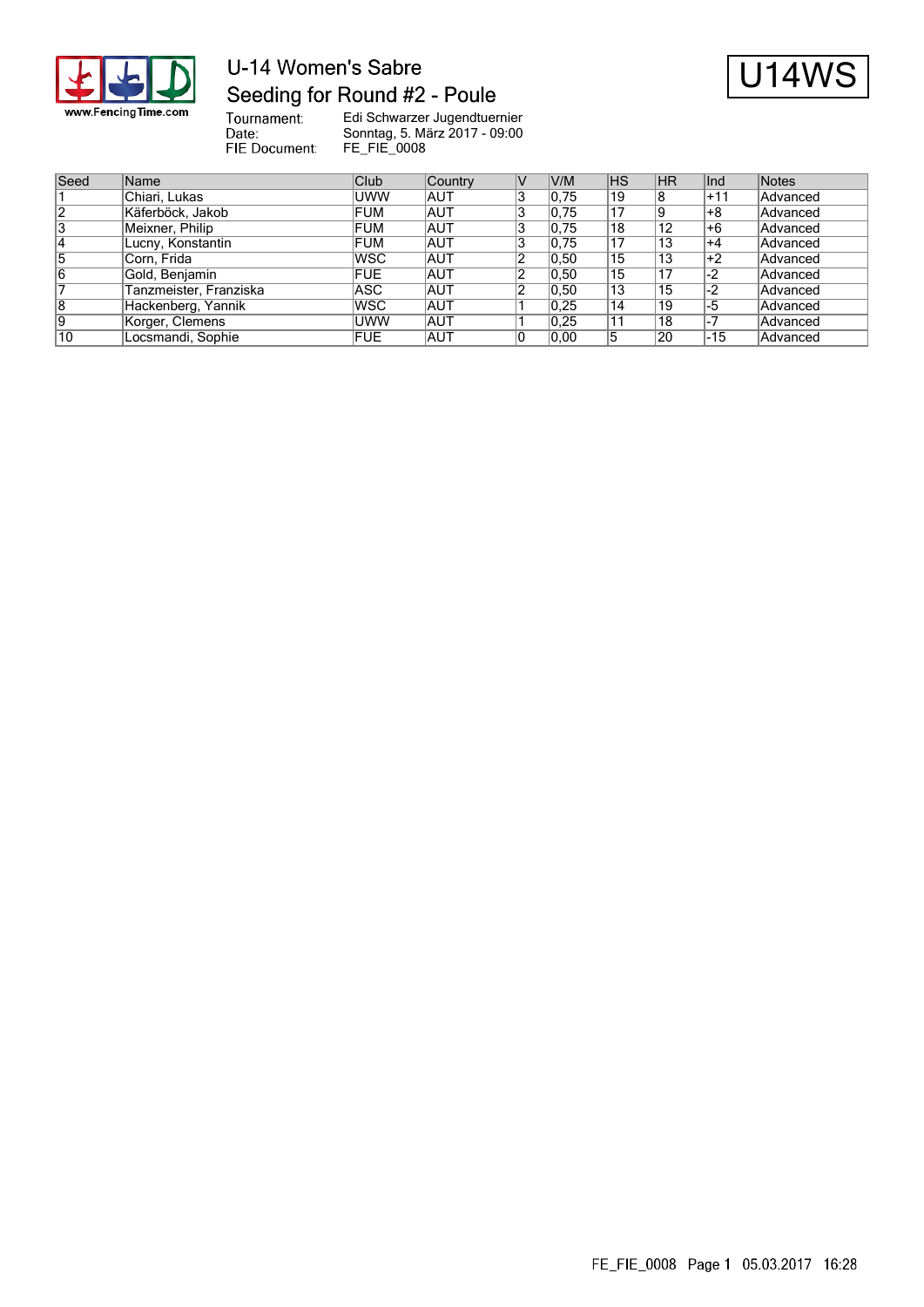

# U-14 Women's Sabre Seeding for Round #2 - Poule



Tournament:<br>Date: FIE Document:

| Seed | Name                   | Club       | Country    | V/M   | <b>IHS</b> | <b>HR</b> | lInd  | Notes    |
|------|------------------------|------------|------------|-------|------------|-----------|-------|----------|
|      | Chiari, Lukas          | <b>UWW</b> | AUT        | 0,75  | 19         | 8         | $+11$ | Advanced |
| 12   | Käferböck, Jakob       | FUM        | <b>AUT</b> | 0,75  | 17         | 19        | +8    | Advanced |
| 3    | Meixner, Philip        | <b>FUM</b> | <b>AUT</b> | 0,75  | 18         | 12        | l+6   | Advanced |
| 14   | Lucny, Konstantin      | FUM        | <b>AUT</b> | 0,75  | 17         | 13        | +4    | Advanced |
| 5    | Corn, Frida            | <b>WSC</b> | <b>AUT</b> | 0, 50 | 15         | 13        | ∣+2   | Advanced |
| 16   | Gold, Benjamin         | <b>FUE</b> | <b>AUT</b> | 0, 50 | 15         | 17        | -2    | Advanced |
|      | Tanzmeister, Franziska | ASC        | <b>AUT</b> | 0, 50 | ່ 13       | 15        | -2    | Advanced |
| 8    | Hackenberg, Yannik     | <b>WSC</b> | <b>AUT</b> | 0.25  | 14         | 19        | -5    | Advanced |
| 9    | Korger, Clemens        | <b>UWW</b> | <b>AUT</b> | 0.25  | 11         | 18        | $-7$  | Advanced |
| 10   | Locsmandi, Sophie      | <b>FUE</b> | <b>AUT</b> | 0,00  |            | 20        | -15   | Advanced |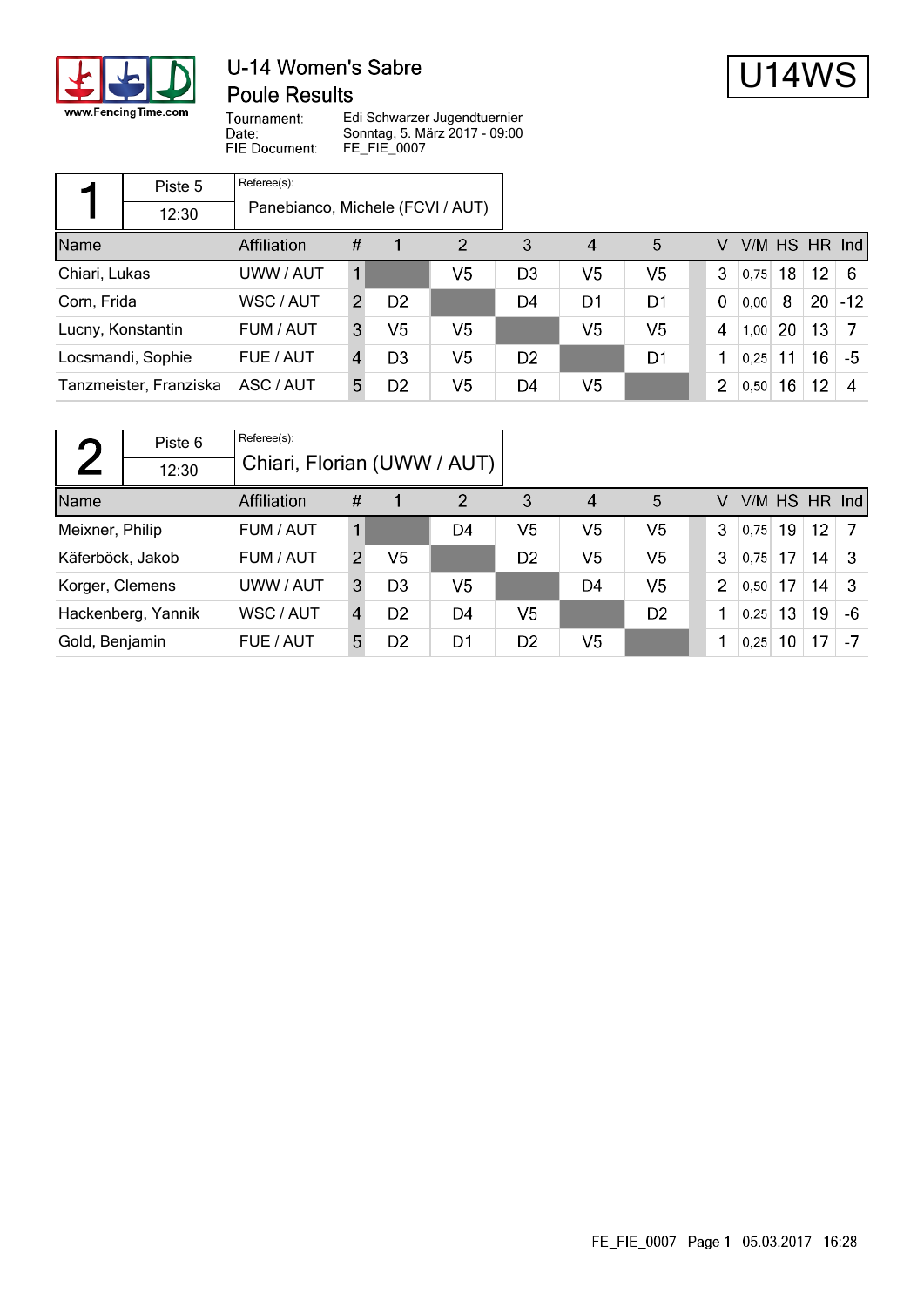

### U-14 Women's Sabre **Poule Results**



Tournament: Date: FIE Document:

|                   | Piste 5                | Referee(s):                      |                |                |                |                |                |                |                |      |           |                   |               |
|-------------------|------------------------|----------------------------------|----------------|----------------|----------------|----------------|----------------|----------------|----------------|------|-----------|-------------------|---------------|
|                   | 12:30                  | Panebianco, Michele (FCVI / AUT) |                |                |                |                |                |                |                |      |           |                   |               |
| Name              |                        | Affiliation                      | #              |                | $\overline{2}$ | 3              | 4              | 5              | V              |      |           |                   | V/M HS HR Ind |
| Chiari, Lukas     |                        | UWW / AUT                        |                |                | V5             | D <sub>3</sub> | V <sub>5</sub> | V <sub>5</sub> | 3              | 0.75 | 18        | $12 \overline{ }$ | -6            |
| Corn, Frida       |                        | WSC / AUT                        | $\overline{2}$ | D <sub>2</sub> |                | D4             | D1             | D1             | $\Omega$       | 0,00 | 8         | 20                | $-12$         |
| Lucny, Konstantin |                        | FUM / AUT                        | 3              | V <sub>5</sub> | V <sub>5</sub> |                | V <sub>5</sub> | V <sub>5</sub> | 4              | 1,00 | <b>20</b> | 13                |               |
| Locsmandi, Sophie |                        | FUE / AUT                        | 4              | D <sub>3</sub> | V <sub>5</sub> | D <sub>2</sub> |                | D1             |                | 0.25 | 11        | 16                | -5            |
|                   | Tanzmeister, Franziska | ASC / AUT                        | 5              | D <sub>2</sub> | V5             | D4             | V <sub>5</sub> |                | $\overline{2}$ | 0,50 | 16        | 12 <sup>2</sup>   | 4             |

| $\blacksquare$               | Piste 6            | Referee(s):                 |                |                |                |                |                        |                |                |      |    |                 |    |
|------------------------------|--------------------|-----------------------------|----------------|----------------|----------------|----------------|------------------------|----------------|----------------|------|----|-----------------|----|
|                              | 12:30              | Chiari, Florian (UWW / AUT) |                |                |                |                |                        |                |                |      |    |                 |    |
| Name                         | <b>Affiliation</b> |                             |                |                | $\overline{2}$ | 3              | $\boldsymbol{\Lambda}$ | 5              | V              |      |    | $V/M$ HS HR Ind |    |
| Meixner, Philip<br>FUM / AUT |                    |                             |                |                | D4             | V5             | V5                     | V5             | 3              | 0.75 | 19 | 12.             |    |
| Käferböck, Jakob             |                    | FUM / AUT                   | $\overline{2}$ | V <sub>5</sub> |                | D <sub>2</sub> | V <sub>5</sub>         | V <sub>5</sub> | 3              | 0.75 | 17 | 14              | -3 |
| Korger, Clemens<br>UWW / AUT |                    |                             | 3              | D3             | V5             |                | D4                     | V <sub>5</sub> | $\overline{2}$ | 0,50 | 17 | 14              | -3 |
| Hackenberg, Yannik           |                    | WSC / AUT                   | 4              | D <sub>2</sub> | D4             | V <sub>5</sub> |                        | D <sub>2</sub> |                | 0,25 | 13 | 19              | -6 |
| Gold, Benjamin               |                    | FUE / AUT                   | 5              | D2             | D1             | D <sub>2</sub> | V <sub>5</sub>         |                |                | 0,25 | 10 | 17              | -7 |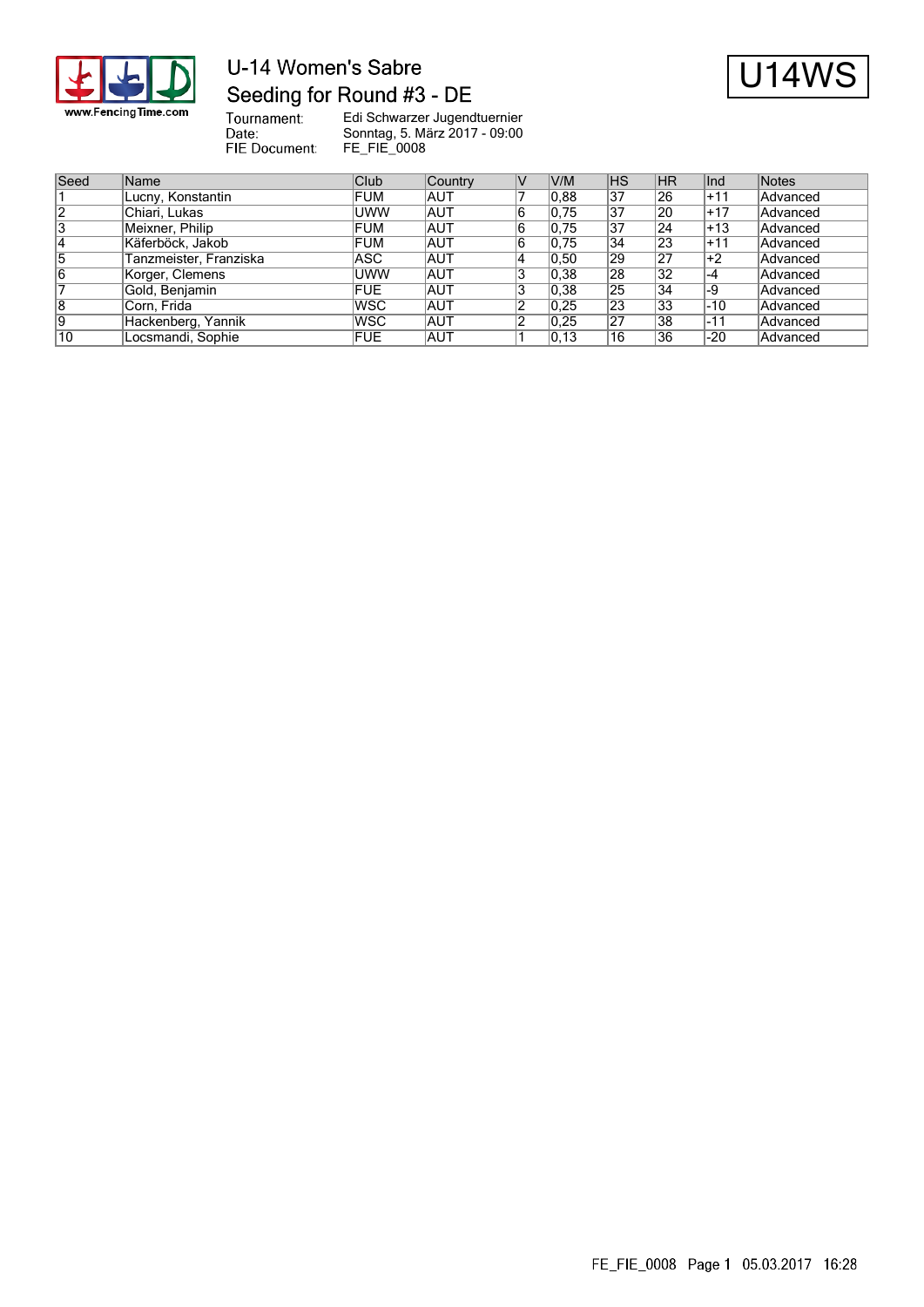

## U-14 Women's Sabre Seeding for Round #3 - DE



Tournament:<br>Date: FIE Document:

| Seed           | Name                   | Club       | Country    | V/M   | <b>IHS</b>      | <b>HR</b>     | lInd  | Notes    |
|----------------|------------------------|------------|------------|-------|-----------------|---------------|-------|----------|
|                | Lucny, Konstantin      | <b>FUM</b> | <b>AUT</b> | 0.88  | 37              | 26            | +11   | Advanced |
| 2              | Chiari, Lukas          | <b>UWW</b> | <b>AUT</b> | 0,75  | 37              | 20            | $+17$ | Advanced |
| 3              | Meixner, Philip        | FUM        | <b>AUT</b> | 0,75  | 37              | 24            | l+13  | Advanced |
| 14             | Käferböck, Jakob       | FUM        | <b>AUT</b> | 0,75  | 34              | 23            | $+11$ | Advanced |
| 5              | Tanzmeister, Franziska | ASC        | <b>AUT</b> | 0, 50 | 29              | 27            | ∣+2   | Advanced |
| 16             | Korger, Clemens        | <b>UWW</b> | <b>AUT</b> | 0,38  | 28              | 32            | ∣-4   | Advanced |
|                | Gold, Benjamin         | <b>FUE</b> | <b>AUT</b> | 0,38  | 25              | 34            | ∣-9   | Advanced |
| $\overline{8}$ | Corn, Frida            | <b>WSC</b> | <b>AUT</b> | 0,25  | $\overline{23}$ | 33            | -10   | Advanced |
| 19             | Hackenberg, Yannik     | <b>WSC</b> | <b>AUT</b> | 0,25  | 27              | 38            | -11   | Advanced |
| 10             | Locsmandi, Sophie      | <b>FUE</b> | <b>AUT</b> | 0, 13 | 16              | <sup>36</sup> | $-20$ | Advanced |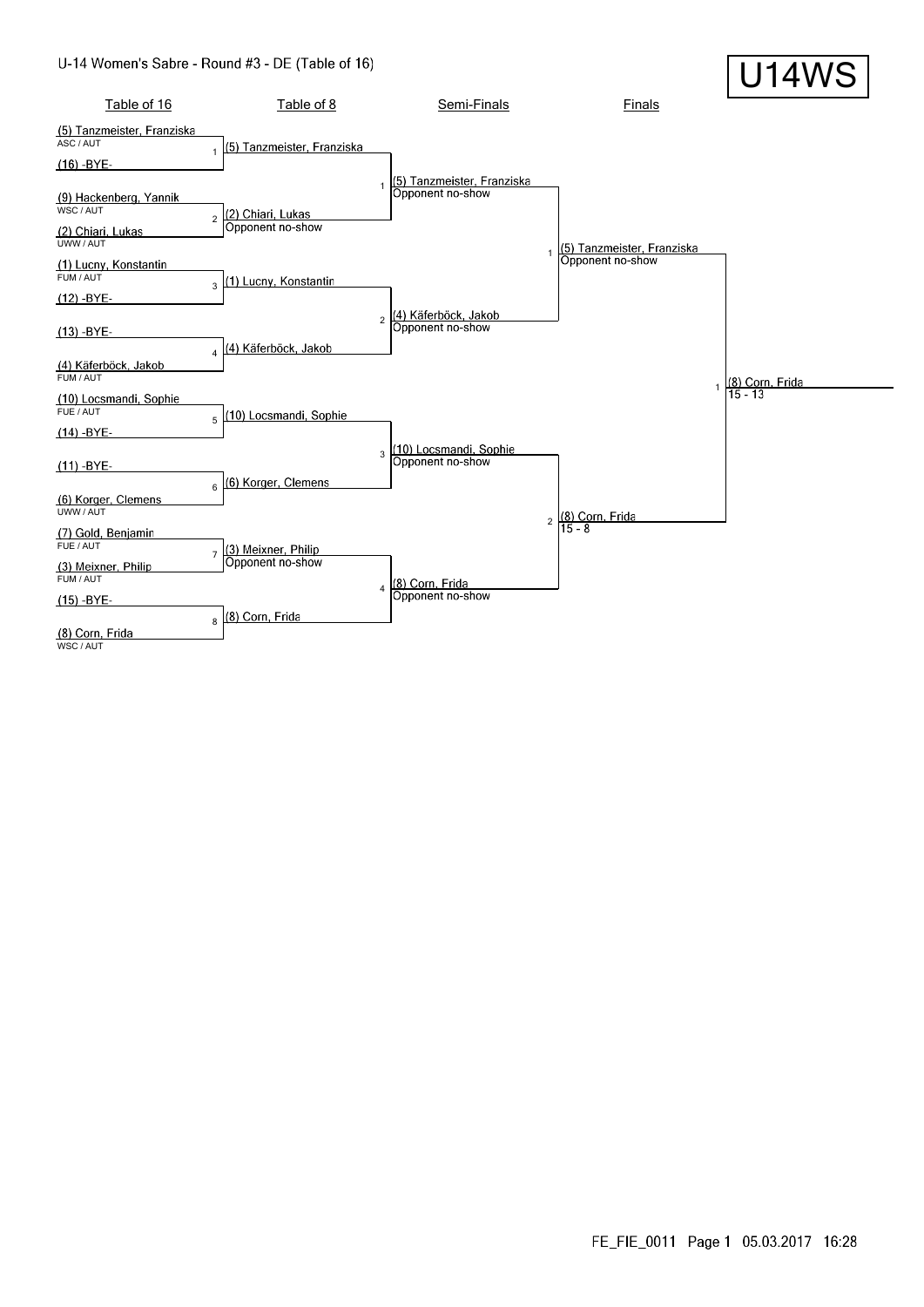#### U-14 Women's Sabre - Round #3 - DE (Table of 16)

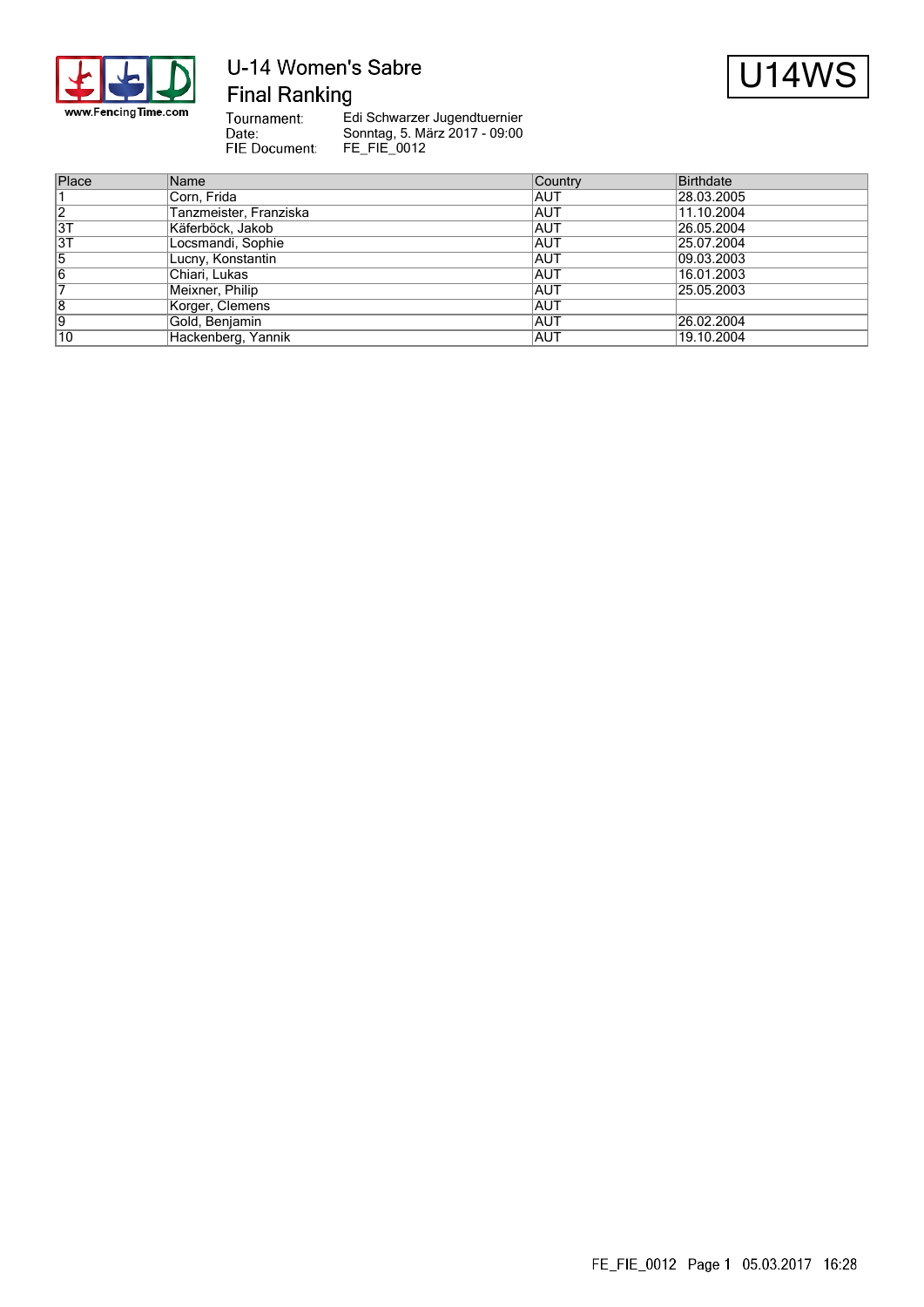

# U-14 Women's Sabre **Final Ranking**



Tournament:<br>Date: FIE Document:

| Place | Name                   | Country    | Birthdate  |
|-------|------------------------|------------|------------|
|       | Corn, Frida            | IAUT       | 28.03.2005 |
| 2     | Tanzmeister, Franziska | IAUT       | 11.10.2004 |
| 3T    | Käferböck, Jakob       | <b>AUT</b> | 26.05.2004 |
| 3T    | Locsmandi, Sophie      | IAUT       | 25.07.2004 |
| 15    | Lucny, Konstantin      | <b>AUT</b> | 09.03.2003 |
| 6     | Chiari, Lukas          | <b>AUT</b> | 16.01.2003 |
|       | Meixner, Philip        | IAUT       | 25.05.2003 |
| 8     | Korger, Clemens        | <b>AUT</b> |            |
| Ι9    | Gold, Benjamin         | IAUT       | 26.02.2004 |
| 10    | Hackenberg, Yannik     | IAUT       | 19.10.2004 |